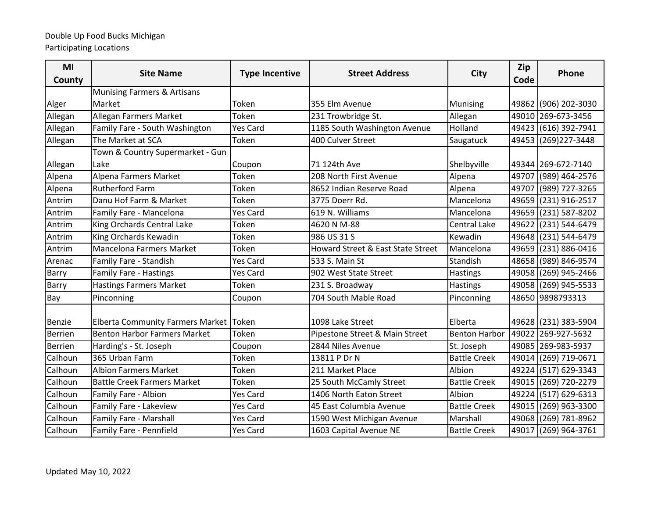| MI<br>County   | <b>Site Name</b>                        | <b>Type Incentive</b> | <b>Street Address</b>             | <b>City</b>          | Zip<br>Code | Phone                |
|----------------|-----------------------------------------|-----------------------|-----------------------------------|----------------------|-------------|----------------------|
|                | <b>Munising Farmers &amp; Artisans</b>  |                       |                                   |                      |             |                      |
| Alger          | Market                                  | Token                 | 355 Elm Avenue                    | <b>Munising</b>      |             | 49862 (906) 202-3030 |
| Allegan        | Allegan Farmers Market                  | Token                 | 231 Trowbridge St.                | Allegan              |             | 49010 269-673-3456   |
| Allegan        | Family Fare - South Washington          | <b>Yes Card</b>       | 1185 South Washington Avenue      | Holland              |             | 49423 (616) 392-7941 |
| Allegan        | The Market at SCA                       | Token                 | 400 Culver Street                 | Saugatuck            |             | 49453 (269) 227-3448 |
|                | Town & Country Supermarket - Gun        |                       |                                   |                      |             |                      |
| Allegan        | Lake                                    | Coupon                | 71 124th Ave                      | Shelbyville          |             | 49344 269-672-7140   |
| Alpena         | Alpena Farmers Market                   | Token                 | 208 North First Avenue            | Alpena               | 49707       | (989) 464-2576       |
| Alpena         | <b>Rutherford Farm</b>                  | Token                 | 8652 Indian Reserve Road          | Alpena               | 49707       | (989) 727-3265       |
| Antrim         | Danu Hof Farm & Market                  | Token                 | 3775 Doerr Rd.                    | Mancelona            |             | 49659 (231) 916-2517 |
| Antrim         | Family Fare - Mancelona                 | Yes Card              | 619 N. Williams                   | Mancelona            | 49659       | $(231) 587 - 8202$   |
| Antrim         | King Orchards Central Lake              | Token                 | 4620 N M-88                       | <b>Central Lake</b>  | 49622       | (231) 544-6479       |
| Antrim         | King Orchards Kewadin                   | Token                 | 986 US 31 S                       | Kewadin              |             | 49648 (231) 544-6479 |
| Antrim         | <b>Mancelona Farmers Market</b>         | Token                 | Howard Street & East State Street | Mancelona            | 49659       | $(231) 886 - 0416$   |
| Arenac         | Family Fare - Standish                  | Yes Card              | 533 S. Main St                    | Standish             |             | 48658 (989) 846-9574 |
| <b>Barry</b>   | <b>Family Fare - Hastings</b>           | <b>Yes Card</b>       | 902 West State Street             | Hastings             |             | 49058 (269) 945-2466 |
| <b>Barry</b>   | <b>Hastings Farmers Market</b>          | Token                 | 231 S. Broadway                   | Hastings             |             | 49058 (269) 945-5533 |
| Bay            | Pinconning                              | Coupon                | 704 South Mable Road              | Pinconning           |             | 48650 9898793313     |
| Benzie         | <b>Elberta Community Farmers Market</b> | Token                 | 1098 Lake Street                  | Elberta              |             | 49628 (231) 383-5904 |
| <b>Berrien</b> | <b>Benton Harbor Farmers Market</b>     | Token                 | Pipestone Street & Main Street    | <b>Benton Harbor</b> |             | 49022 269-927-5632   |
| <b>Berrien</b> | Harding's - St. Joseph                  | Coupon                | 2844 Niles Avenue                 | St. Joseph           |             | 49085 269-983-5937   |
| Calhoun        | 365 Urban Farm                          | Token                 | 13811 P Dr N                      | <b>Battle Creek</b>  |             | 49014 (269) 719-0671 |
| Calhoun        | <b>Albion Farmers Market</b>            | Token                 | 211 Market Place                  | Albion               | 49224       | (517) 629-3343       |
| Calhoun        | <b>Battle Creek Farmers Market</b>      | Token                 | 25 South McCamly Street           | <b>Battle Creek</b>  |             | 49015 (269) 720-2279 |
| Calhoun        | Family Fare - Albion                    | <b>Yes Card</b>       | 1406 North Eaton Street           | Albion               | 49224       | (517) 629-6313       |
| Calhoun        | Family Fare - Lakeview                  | <b>Yes Card</b>       | 45 East Columbia Avenue           | <b>Battle Creek</b>  | 49015       | (269) 963-3300       |
| Calhoun        | Family Fare - Marshall                  | <b>Yes Card</b>       | 1590 West Michigan Avenue         | Marshall             |             | 49068 (269) 781-8962 |
| Calhoun        | Family Fare - Pennfield                 | Yes Card              | 1603 Capital Avenue NE            | <b>Battle Creek</b>  |             | 49017 (269) 964-3761 |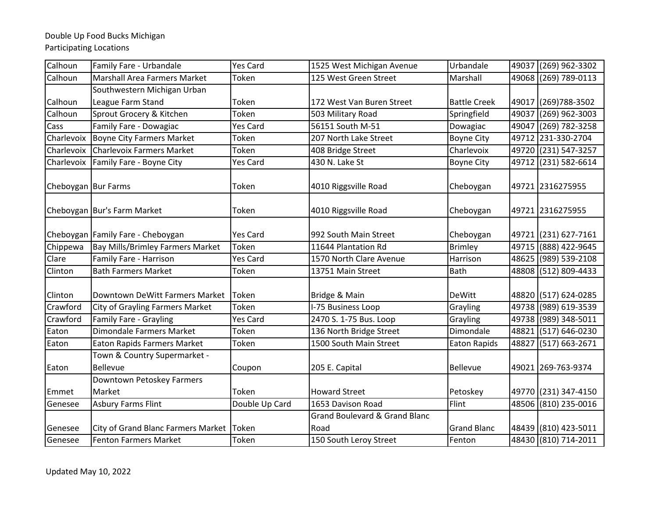| Calhoun             | Family Fare - Urbandale                         | <b>Yes Card</b> | 1525 West Michigan Avenue                        | Urbandale           |       | 49037 (269) 962-3302 |
|---------------------|-------------------------------------------------|-----------------|--------------------------------------------------|---------------------|-------|----------------------|
| Calhoun             | Marshall Area Farmers Market                    | Token           | 125 West Green Street                            | Marshall            |       | 49068 (269) 789-0113 |
|                     | Southwestern Michigan Urban                     |                 |                                                  |                     |       |                      |
| Calhoun             | League Farm Stand                               | Token           | 172 West Van Buren Street                        | <b>Battle Creek</b> |       | 49017 (269) 788-3502 |
| Calhoun             | Sprout Grocery & Kitchen                        | Token           | 503 Military Road                                | Springfield         | 49037 | $(269)$ 962-3003     |
| Cass                | Family Fare - Dowagiac                          | <b>Yes Card</b> | 56151 South M-51                                 | Dowagiac            |       | 49047 (269) 782-3258 |
| Charlevoix          | <b>Boyne City Farmers Market</b>                | Token           | 207 North Lake Street                            | <b>Boyne City</b>   |       | 49712 231-330-2704   |
| Charlevoix          | <b>Charlevoix Farmers Market</b>                | Token           | 408 Bridge Street                                | Charlevoix          |       | 49720 (231) 547-3257 |
| Charlevoix          | Family Fare - Boyne City                        | <b>Yes Card</b> | 430 N. Lake St                                   | <b>Boyne City</b>   |       | 49712 (231) 582-6614 |
| Cheboygan Bur Farms |                                                 | Token           | 4010 Riggsville Road                             | Cheboygan           |       | 49721 2316275955     |
|                     | Cheboygan Bur's Farm Market                     | Token           | 4010 Riggsville Road                             | Cheboygan           |       | 49721 2316275955     |
|                     | Cheboygan Family Fare - Cheboygan               | <b>Yes Card</b> | 992 South Main Street                            | Cheboygan           |       | 49721 (231) 627-7161 |
| Chippewa            | <b>Bay Mills/Brimley Farmers Market</b>         | Token           | 11644 Plantation Rd                              | <b>Brimley</b>      |       | 49715 (888) 422-9645 |
| Clare               | Family Fare - Harrison                          | <b>Yes Card</b> | 1570 North Clare Avenue                          | Harrison            |       | 48625 (989) 539-2108 |
| Clinton             | <b>Bath Farmers Market</b>                      | Token           | 13751 Main Street                                | <b>Bath</b>         |       | 48808 (512) 809-4433 |
| Clinton             | Downtown DeWitt Farmers Market                  | Token           | Bridge & Main                                    | DeWitt              |       | 48820 (517) 624-0285 |
| Crawford            | <b>City of Grayling Farmers Market</b>          | Token           | I-75 Business Loop                               | Grayling            |       | 49738 (989) 619-3539 |
| Crawford            | <b>Family Fare - Grayling</b>                   | <b>Yes Card</b> | 2470 S. 1-75 Bus. Loop                           | Grayling            |       | 49738 (989) 348-5011 |
| Eaton               | <b>Dimondale Farmers Market</b>                 | Token           | 136 North Bridge Street                          | Dimondale           |       | 48821 (517) 646-0230 |
| Eaton               | <b>Eaton Rapids Farmers Market</b>              | Token           | 1500 South Main Street                           | <b>Eaton Rapids</b> |       | 48827 (517) 663-2671 |
| Eaton               | Town & Country Supermarket -<br><b>Bellevue</b> | Coupon          | 205 E. Capital                                   | <b>Bellevue</b>     |       | 49021 269-763-9374   |
|                     | Downtown Petoskey Farmers                       |                 |                                                  |                     |       |                      |
| Emmet               | Market                                          | Token           | <b>Howard Street</b>                             | Petoskey            |       | 49770 (231) 347-4150 |
| Genesee             | <b>Asbury Farms Flint</b>                       | Double Up Card  | 1653 Davison Road                                | Flint               |       | 48506 (810) 235-0016 |
| Genesee             | City of Grand Blanc Farmers Market              | Token           | <b>Grand Boulevard &amp; Grand Blanc</b><br>Road | <b>Grand Blanc</b>  |       | 48439 (810) 423-5011 |
| Genesee             | <b>Fenton Farmers Market</b>                    | Token           | 150 South Leroy Street                           | Fenton              |       | 48430 (810) 714-2011 |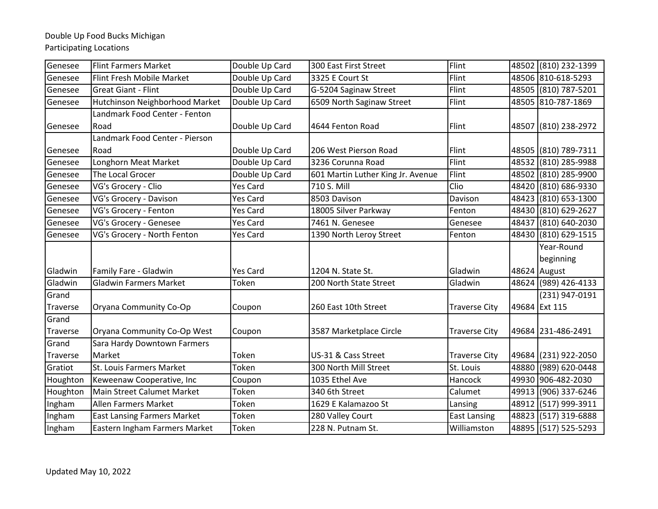# Double Up Food Bucks Michigan

Participating Locations

| Genesee  | <b>Flint Farmers Market</b>        | Double Up Card  | 300 East First Street             | Flint                |       | 48502 (810) 232-1399    |
|----------|------------------------------------|-----------------|-----------------------------------|----------------------|-------|-------------------------|
| Genesee  | Flint Fresh Mobile Market          | Double Up Card  | 3325 E Court St                   | Flint                |       | 48506 810-618-5293      |
| Genesee  | <b>Great Giant - Flint</b>         | Double Up Card  | G-5204 Saginaw Street             | Flint                |       | 48505 (810) 787-5201    |
| Genesee  | Hutchinson Neighborhood Market     | Double Up Card  | 6509 North Saginaw Street         | Flint                |       | 48505 810-787-1869      |
|          | Landmark Food Center - Fenton      |                 |                                   |                      |       |                         |
| Genesee  | Road                               | Double Up Card  | 4644 Fenton Road                  | Flint                |       | 48507 (810) 238-2972    |
|          | Landmark Food Center - Pierson     |                 |                                   |                      |       |                         |
| Genesee  | Road                               | Double Up Card  | 206 West Pierson Road             | Flint                |       | 48505 (810) 789-7311    |
| Genesee  | Longhorn Meat Market               | Double Up Card  | 3236 Corunna Road                 | Flint                | 48532 | $\sqrt{(810)}$ 285-9988 |
| Genesee  | The Local Grocer                   | Double Up Card  | 601 Martin Luther King Jr. Avenue | Flint                |       | 48502 (810) 285-9900    |
| Genesee  | VG's Grocery - Clio                | Yes Card        | 710 S. Mill                       | Clio                 |       | 48420 (810) 686-9330    |
| Genesee  | VG's Grocery - Davison             | <b>Yes Card</b> | 8503 Davison                      | Davison              |       | 48423 (810) 653-1300    |
| Genesee  | VG's Grocery - Fenton              | <b>Yes Card</b> | 18005 Silver Parkway              | Fenton               |       | 48430 (810) 629-2627    |
| Genesee  | VG's Grocery - Genesee             | Yes Card        | 7461 N. Genesee                   | Genesee              | 48437 | $(810) 640 - 2030$      |
| Genesee  | VG's Grocery - North Fenton        | <b>Yes Card</b> | 1390 North Leroy Street           | Fenton               |       | 48430 (810) 629-1515    |
|          |                                    |                 |                                   |                      |       | Year-Round              |
|          |                                    |                 |                                   |                      |       | beginning               |
| Gladwin  | Family Fare - Gladwin              | <b>Yes Card</b> | 1204 N. State St.                 | Gladwin              |       | 48624 August            |
| Gladwin  | <b>Gladwin Farmers Market</b>      | Token           | 200 North State Street            | Gladwin              |       | 48624 (989) 426-4133    |
| Grand    |                                    |                 |                                   |                      |       | (231) 947-0191          |
| Traverse | Oryana Community Co-Op             | Coupon          | 260 East 10th Street              | <b>Traverse City</b> |       | 49684 Ext 115           |
| Grand    |                                    |                 |                                   |                      |       |                         |
| Traverse | Oryana Community Co-Op West        | Coupon          | 3587 Marketplace Circle           | <b>Traverse City</b> |       | 49684 231-486-2491      |
| Grand    | Sara Hardy Downtown Farmers        |                 |                                   |                      |       |                         |
| Traverse | Market                             | Token           | US-31 & Cass Street               | <b>Traverse City</b> |       | 49684 (231) 922-2050    |
| Gratiot  | St. Louis Farmers Market           | Token           | 300 North Mill Street             | St. Louis            | 48880 | (989) 620-0448          |
| Houghton | Keweenaw Cooperative, Inc          | Coupon          | 1035 Ethel Ave                    | Hancock              |       | 49930 906-482-2030      |
| Houghton | Main Street Calumet Market         | Token           | 340 6th Street                    | Calumet              |       | 49913 (906) 337-6246    |
| Ingham   | Allen Farmers Market               | Token           | 1629 E Kalamazoo St               | Lansing              | 48912 | (517) 999-3911          |
| Ingham   | <b>East Lansing Farmers Market</b> | Token           | 280 Valley Court                  | <b>East Lansing</b>  |       | 48823 (517) 319-6888    |
| Ingham   | Eastern Ingham Farmers Market      | Token           | 228 N. Putnam St.                 | Williamston          |       | 48895 (517) 525-5293    |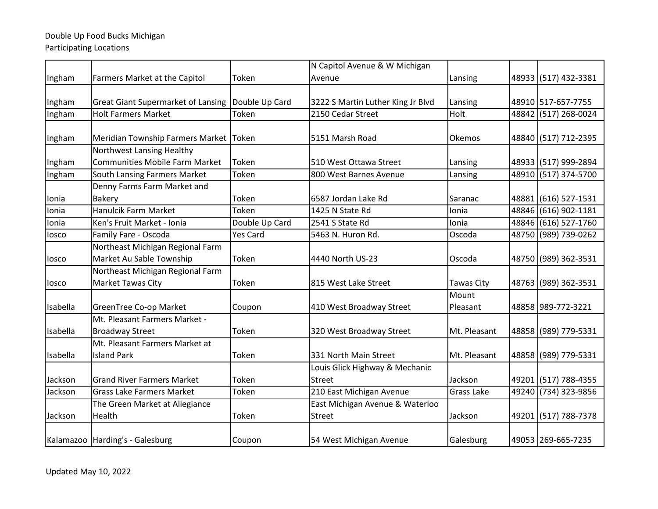|          |                                           |                | N Capitol Avenue & W Michigan     |                   |                      |
|----------|-------------------------------------------|----------------|-----------------------------------|-------------------|----------------------|
| Ingham   | <b>Farmers Market at the Capitol</b>      | Token          | Avenue                            | Lansing           | 48933 (517) 432-3381 |
|          |                                           |                |                                   |                   |                      |
| Ingham   | <b>Great Giant Supermarket of Lansing</b> | Double Up Card | 3222 S Martin Luther King Jr Blvd | Lansing           | 48910 517-657-7755   |
| Ingham   | <b>Holt Farmers Market</b>                | Token          | 2150 Cedar Street                 | Holt              | 48842 (517) 268-0024 |
| Ingham   | Meridian Township Farmers Market Token    |                | 5151 Marsh Road                   | Okemos            | 48840 (517) 712-2395 |
|          | Northwest Lansing Healthy                 |                |                                   |                   |                      |
| Ingham   | <b>Communities Mobile Farm Market</b>     | Token          | 510 West Ottawa Street            | Lansing           | 48933 (517) 999-2894 |
| Ingham   | South Lansing Farmers Market              | Token          | 800 West Barnes Avenue            | Lansing           | 48910 (517) 374-5700 |
|          | Denny Farms Farm Market and               |                |                                   |                   |                      |
| Ionia    | <b>Bakery</b>                             | Token          | 6587 Jordan Lake Rd               | Saranac           | 48881 (616) 527-1531 |
| Ionia    | Hanulcik Farm Market                      | Token          | 1425 N State Rd                   | Ionia             | 48846 (616) 902-1181 |
| Ionia    | Ken's Fruit Market - Ionia                | Double Up Card | 2541 S State Rd                   | Ionia             | 48846 (616) 527-1760 |
| losco    | Family Fare - Oscoda                      | Yes Card       | 5463 N. Huron Rd.                 | Oscoda            | 48750 (989) 739-0262 |
|          | Northeast Michigan Regional Farm          |                |                                   |                   |                      |
| losco    | Market Au Sable Township                  | Token          | 4440 North US-23                  | Oscoda            | 48750 (989) 362-3531 |
|          | Northeast Michigan Regional Farm          |                |                                   |                   |                      |
| losco    | Market Tawas City                         | Token          | 815 West Lake Street              | <b>Tawas City</b> | 48763 (989) 362-3531 |
|          |                                           |                |                                   | Mount             |                      |
| Isabella | <b>GreenTree Co-op Market</b>             | Coupon         | 410 West Broadway Street          | Pleasant          | 48858 989-772-3221   |
|          | Mt. Pleasant Farmers Market -             |                |                                   |                   |                      |
| Isabella | <b>Broadway Street</b>                    | Token          | 320 West Broadway Street          | Mt. Pleasant      | 48858 (989) 779-5331 |
|          | Mt. Pleasant Farmers Market at            |                |                                   |                   |                      |
| Isabella | <b>Island Park</b>                        | Token          | 331 North Main Street             | Mt. Pleasant      | 48858 (989) 779-5331 |
|          |                                           |                | Louis Glick Highway & Mechanic    |                   |                      |
| Jackson  | <b>Grand River Farmers Market</b>         | Token          | <b>Street</b>                     | Jackson           | 49201 (517) 788-4355 |
| Jackson  | <b>Grass Lake Farmers Market</b>          | Token          | 210 East Michigan Avenue          | <b>Grass Lake</b> | 49240 (734) 323-9856 |
|          | The Green Market at Allegiance            |                | East Michigan Avenue & Waterloo   |                   |                      |
| Jackson  | Health                                    | Token          | <b>Street</b>                     | Jackson           | 49201 (517) 788-7378 |
|          | Kalamazoo Harding's - Galesburg           | Coupon         | 54 West Michigan Avenue           | Galesburg         | 49053 269-665-7235   |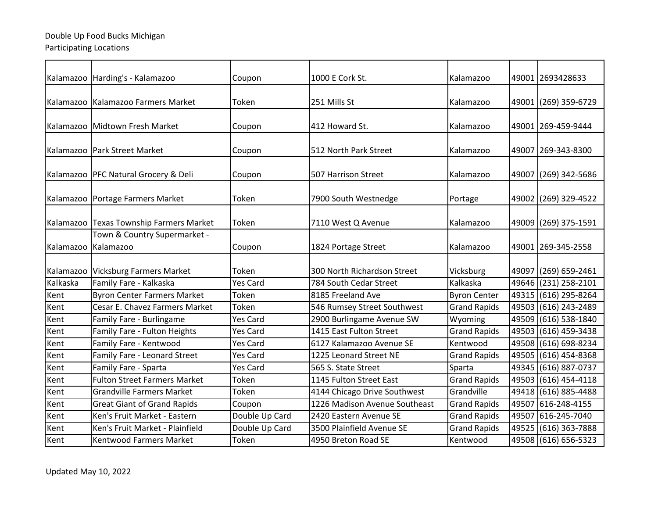|           |                                           |                 | 1000 E Cork St.               | Kalamazoo           |       | 49001 2693428633     |
|-----------|-------------------------------------------|-----------------|-------------------------------|---------------------|-------|----------------------|
|           | Kalamazoo   Harding's - Kalamazoo         | Coupon          |                               |                     |       |                      |
| Kalamazoo | Kalamazoo Farmers Market                  | Token           | 251 Mills St                  | Kalamazoo           | 49001 | (269) 359-6729       |
| Kalamazoo | Midtown Fresh Market                      | Coupon          | 412 Howard St.                | Kalamazoo           | 49001 | 269-459-9444         |
|           | Kalamazoo   Park Street Market            | Coupon          | 512 North Park Street         | Kalamazoo           |       | 49007 269-343-8300   |
|           | Kalamazoo   PFC Natural Grocery & Deli    | Coupon          | 507 Harrison Street           | Kalamazoo           | 49007 | (269) 342-5686       |
|           | Kalamazoo   Portage Farmers Market        | Token           | 7900 South Westnedge          | Portage             | 49002 | (269) 329-4522       |
|           | Kalamazoo Texas Township Farmers Market   | Token           | 7110 West Q Avenue            | Kalamazoo           |       | 49009 (269) 375-1591 |
| Kalamazoo | Town & Country Supermarket -<br>Kalamazoo | Coupon          | 1824 Portage Street           | Kalamazoo           |       | 49001 269-345-2558   |
| Kalamazoo | <b>Vicksburg Farmers Market</b>           | Token           | 300 North Richardson Street   | Vicksburg           |       | 49097 (269) 659-2461 |
| Kalkaska  | Family Fare - Kalkaska                    | <b>Yes Card</b> | 784 South Cedar Street        | Kalkaska            | 49646 | (231) 258-2101       |
| Kent      | <b>Byron Center Farmers Market</b>        | Token           | 8185 Freeland Ave             | <b>Byron Center</b> |       | 49315 (616) 295-8264 |
| Kent      | Cesar E. Chavez Farmers Market            | Token           | 546 Rumsey Street Southwest   | <b>Grand Rapids</b> | 49503 | (616) 243-2489       |
| Kent      | Family Fare - Burlingame                  | <b>Yes Card</b> | 2900 Burlingame Avenue SW     | Wyoming             |       | 49509 (616) 538-1840 |
| Kent      | Family Fare - Fulton Heights              | <b>Yes Card</b> | 1415 East Fulton Street       | <b>Grand Rapids</b> | 49503 | (616) 459-3438       |
| Kent      | Family Fare - Kentwood                    | <b>Yes Card</b> | 6127 Kalamazoo Avenue SE      | Kentwood            | 49508 | (616) 698-8234       |
| Kent      | Family Fare - Leonard Street              | <b>Yes Card</b> | 1225 Leonard Street NE        | <b>Grand Rapids</b> |       | 49505 (616) 454-8368 |
| Kent      | Family Fare - Sparta                      | <b>Yes Card</b> | 565 S. State Street           | Sparta              |       | 49345 (616) 887-0737 |
| Kent      | <b>Fulton Street Farmers Market</b>       | Token           | 1145 Fulton Street East       | <b>Grand Rapids</b> | 49503 | (616) 454-4118       |
| Kent      | <b>Grandville Farmers Market</b>          | Token           | 4144 Chicago Drive Southwest  | Grandville          |       | 49418 (616) 885-4488 |
| Kent      | <b>Great Giant of Grand Rapids</b>        | Coupon          | 1226 Madison Avenue Southeast | <b>Grand Rapids</b> |       | 49507 616-248-4155   |
| Kent      | Ken's Fruit Market - Eastern              | Double Up Card  | 2420 Eastern Avenue SE        | <b>Grand Rapids</b> |       | 49507 616-245-7040   |
| Kent      | Ken's Fruit Market - Plainfield           | Double Up Card  | 3500 Plainfield Avenue SE     | Grand Rapids        |       | 49525 (616) 363-7888 |
| Kent      | <b>Kentwood Farmers Market</b>            | Token           | 4950 Breton Road SE           | Kentwood            |       | 49508 (616) 656-5323 |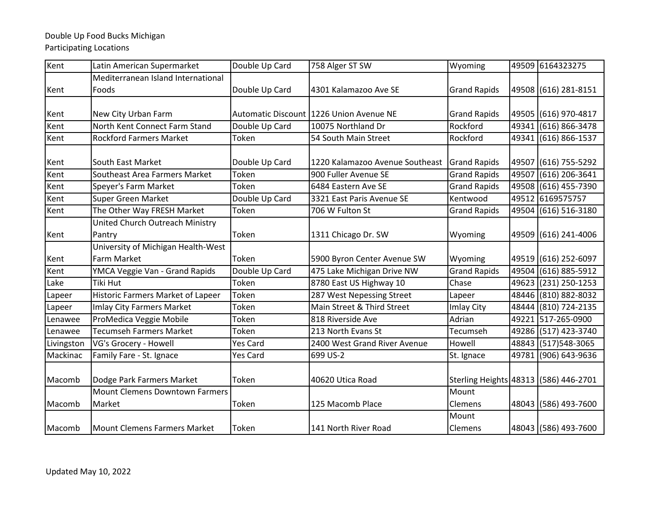| Kent       | Latin American Supermarket            | Double Up Card  | 758 Alger ST SW                         | Wyoming                               |       | 49509 6164323275     |
|------------|---------------------------------------|-----------------|-----------------------------------------|---------------------------------------|-------|----------------------|
|            | Mediterranean Island International    |                 |                                         |                                       |       |                      |
| Kent       | Foods                                 | Double Up Card  | 4301 Kalamazoo Ave SE                   | <b>Grand Rapids</b>                   |       | 49508 (616) 281-8151 |
|            |                                       |                 |                                         |                                       |       |                      |
| Kent       | New City Urban Farm                   |                 | Automatic Discount 1226 Union Avenue NE | <b>Grand Rapids</b>                   |       | 49505 (616) 970-4817 |
| Kent       | North Kent Connect Farm Stand         | Double Up Card  | 10075 Northland Dr                      | Rockford                              | 49341 | $(616) 866 - 3478$   |
| Kent       | <b>Rockford Farmers Market</b>        | Token           | 54 South Main Street                    | Rockford                              | 49341 | $(616) 866 - 1537$   |
|            |                                       |                 |                                         |                                       |       |                      |
| Kent       | South East Market                     | Double Up Card  | 1220 Kalamazoo Avenue Southeast         | <b>Grand Rapids</b>                   | 49507 | $(616) 755 - 5292$   |
| Kent       | Southeast Area Farmers Market         | Token           | 900 Fuller Avenue SE                    | <b>Grand Rapids</b>                   | 49507 | $(616)$ 206-3641     |
| Kent       | Speyer's Farm Market                  | Token           | 6484 Eastern Ave SE                     | <b>Grand Rapids</b>                   |       | 49508 (616) 455-7390 |
| Kent       | <b>Super Green Market</b>             | Double Up Card  | 3321 East Paris Avenue SE               | Kentwood                              |       | 49512 6169575757     |
| Kent       | The Other Way FRESH Market            | Token           | 706 W Fulton St                         | <b>Grand Rapids</b>                   |       | 49504 (616) 516-3180 |
|            | United Church Outreach Ministry       |                 |                                         |                                       |       |                      |
| Kent       | Pantry                                | Token           | 1311 Chicago Dr. SW                     | Wyoming                               |       | 49509 (616) 241-4006 |
|            | University of Michigan Health-West    |                 |                                         |                                       |       |                      |
| Kent       | Farm Market                           | Token           | 5900 Byron Center Avenue SW             | Wyoming                               |       | 49519 (616) 252-6097 |
| Kent       | YMCA Veggie Van - Grand Rapids        | Double Up Card  | 475 Lake Michigan Drive NW              | <b>Grand Rapids</b>                   |       | 49504 (616) 885-5912 |
| Lake       | Tiki Hut                              | Token           | 8780 East US Highway 10                 | Chase                                 |       | 49623 (231) 250-1253 |
| Lapeer     | Historic Farmers Market of Lapeer     | Token           | 287 West Nepessing Street               | Lapeer                                |       | 48446 (810) 882-8032 |
| Lapeer     | <b>Imlay City Farmers Market</b>      | Token           | Main Street & Third Street              | Imlay City                            |       | 48444 (810) 724-2135 |
| Lenawee    | ProMedica Veggie Mobile               | Token           | 818 Riverside Ave                       | Adrian                                |       | 49221 517-265-0900   |
| Lenawee    | Tecumseh Farmers Market               | Token           | 213 North Evans St                      | Tecumseh                              |       | 49286 (517) 423-3740 |
| Livingston | VG's Grocery - Howell                 | <b>Yes Card</b> | 2400 West Grand River Avenue            | Howell                                |       | 48843 (517) 548-3065 |
| Mackinac   | Family Fare - St. Ignace              | Yes Card        | 699 US-2                                | St. Ignace                            |       | 49781 (906) 643-9636 |
|            |                                       |                 |                                         |                                       |       |                      |
| Macomb     | Dodge Park Farmers Market             | Token           | 40620 Utica Road                        | Sterling Heights 48313 (586) 446-2701 |       |                      |
|            | <b>Mount Clemens Downtown Farmers</b> |                 |                                         | Mount                                 |       |                      |
| Macomb     | Market                                | Token           | 125 Macomb Place                        | Clemens                               |       | 48043 (586) 493-7600 |
|            |                                       |                 |                                         | Mount                                 |       |                      |
| Macomb     | <b>Mount Clemens Farmers Market</b>   | Token           | 141 North River Road                    | <b>Clemens</b>                        |       | 48043 (586) 493-7600 |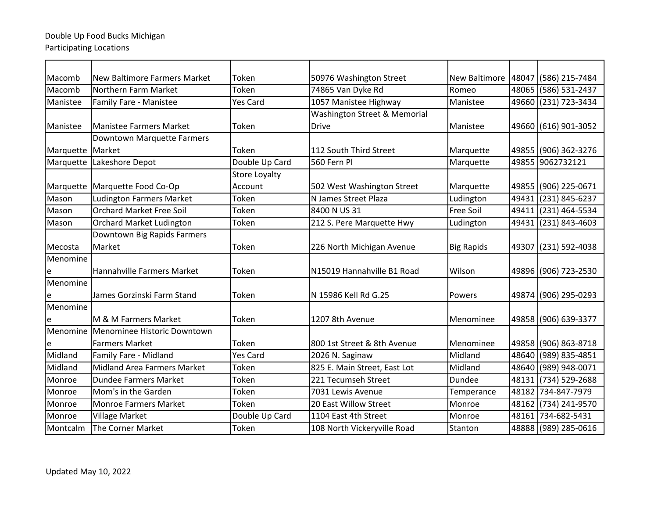| Macomb           | New Baltimore Farmers Market       | Token                | 50976 Washington Street      |                   | New Baltimore   48047 (586) 215-7484 |
|------------------|------------------------------------|----------------------|------------------------------|-------------------|--------------------------------------|
| Macomb           | Northern Farm Market               | Token                | 74865 Van Dyke Rd            | Romeo             | 48065 (586) 531-2437                 |
| Manistee         | Family Fare - Manistee             | <b>Yes Card</b>      | 1057 Manistee Highway        | Manistee          | 49660 (231) 723-3434                 |
|                  |                                    |                      | Washington Street & Memorial |                   |                                      |
| Manistee         | <b>Manistee Farmers Market</b>     | Token                | <b>Drive</b>                 | Manistee          | 49660 (616) 901-3052                 |
|                  | Downtown Marquette Farmers         |                      |                              |                   |                                      |
| Marquette Market |                                    | Token                | 112 South Third Street       | Marquette         | 49855 (906) 362-3276                 |
| Marquette        | Lakeshore Depot                    | Double Up Card       | 560 Fern Pl                  | Marquette         | 49855 9062732121                     |
|                  |                                    | <b>Store Loyalty</b> |                              |                   |                                      |
|                  | Marquette   Marquette Food Co-Op   | Account              | 502 West Washington Street   | Marquette         | 49855 (906) 225-0671                 |
| Mason            | <b>Ludington Farmers Market</b>    | Token                | N James Street Plaza         | Ludington         | 49431 (231) 845-6237                 |
| Mason            | <b>Orchard Market Free Soil</b>    | Token                | 8400 N US 31                 | Free Soil         | 49411 (231) 464-5534                 |
| Mason            | <b>Orchard Market Ludington</b>    | Token                | 212 S. Pere Marquette Hwy    | Ludington         | 49431 (231) 843-4603                 |
|                  | Downtown Big Rapids Farmers        |                      |                              |                   |                                      |
| Mecosta          | Market                             | Token                | 226 North Michigan Avenue    | <b>Big Rapids</b> | 49307 (231) 592-4038                 |
| Menomine         |                                    |                      |                              |                   |                                      |
| e                | Hannahville Farmers Market         | Token                | N15019 Hannahville B1 Road   | Wilson            | 49896 (906) 723-2530                 |
| Menomine         |                                    |                      |                              |                   |                                      |
| e                | James Gorzinski Farm Stand         | Token                | N 15986 Kell Rd G.25         | Powers            | 49874 (906) 295-0293                 |
| Menomine         |                                    |                      |                              |                   |                                      |
| e                | <b>IM &amp; M Farmers Market</b>   | Token                | 1207 8th Avenue              | Menominee         | 49858 (906) 639-3377                 |
| Menomine         | Menominee Historic Downtown        |                      |                              |                   |                                      |
| e                | <b>Farmers Market</b>              | Token                | 800 1st Street & 8th Avenue  | Menominee         | 49858 (906) 863-8718                 |
| Midland          | Family Fare - Midland              | <b>Yes Card</b>      | 2026 N. Saginaw              | Midland           | 48640 (989) 835-4851                 |
| Midland          | <b>Midland Area Farmers Market</b> | Token                | 825 E. Main Street, East Lot | Midland           | 48640 (989) 948-0071                 |
| Monroe           | Dundee Farmers Market              | Token                | 221 Tecumseh Street          | Dundee            | 48131 (734) 529-2688                 |
| Monroe           | Mom's in the Garden                | Token                | 7031 Lewis Avenue            | Temperance        | 48182 734-847-7979                   |
| Monroe           | <b>Monroe Farmers Market</b>       | Token                | 20 East Willow Street        | Monroe            | 48162 (734) 241-9570                 |
| Monroe           | <b>Village Market</b>              | Double Up Card       | 1104 East 4th Street         | Monroe            | 48161 734-682-5431                   |
| Montcalm         | The Corner Market                  | Token                | 108 North Vickeryville Road  | Stanton           | 48888 (989) 285-0616                 |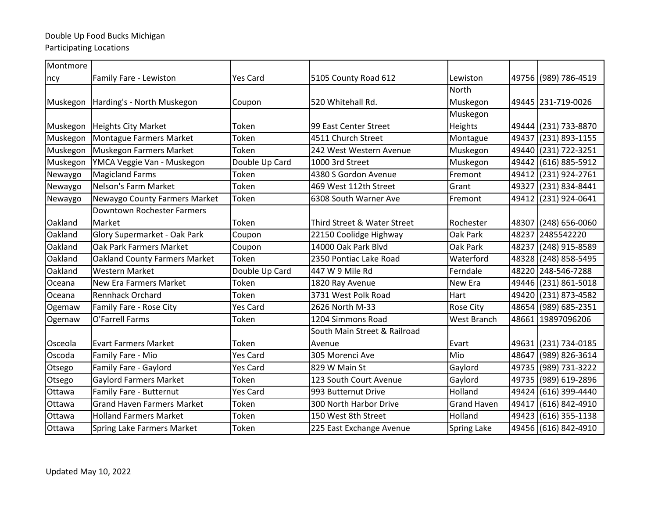| Montmore      |                                      |                 |                              |                    |       |                      |
|---------------|--------------------------------------|-----------------|------------------------------|--------------------|-------|----------------------|
| ncy           | Family Fare - Lewiston               | <b>Yes Card</b> | 5105 County Road 612         | Lewiston           |       | 49756 (989) 786-4519 |
|               |                                      |                 |                              | North              |       |                      |
| Muskegon      | Harding's - North Muskegon           | Coupon          | 520 Whitehall Rd.            | Muskegon           |       | 49445 231-719-0026   |
|               |                                      |                 |                              | Muskegon           |       |                      |
| Muskegon      | Heights City Market                  | Token           | 99 East Center Street        | Heights            |       | 49444 (231) 733-8870 |
| Muskegon      | Montague Farmers Market              | Token           | 4511 Church Street           | Montague           |       | 49437 (231) 893-1155 |
| Muskegon      | Muskegon Farmers Market              | Token           | 242 West Western Avenue      | Muskegon           |       | 49440 (231) 722-3251 |
| Muskegon      | YMCA Veggie Van - Muskegon           | Double Up Card  | 1000 3rd Street              | Muskegon           |       | 49442 (616) 885-5912 |
| Newaygo       | <b>Magicland Farms</b>               | Token           | 4380 S Gordon Avenue         | Fremont            |       | 49412 (231) 924-2761 |
| Newaygo       | Nelson's Farm Market                 | Token           | 469 West 112th Street        | Grant              |       | 49327 (231) 834-8441 |
| Newaygo       | Newaygo County Farmers Market        | Token           | 6308 South Warner Ave        | Fremont            |       | 49412 (231) 924-0641 |
|               | <b>Downtown Rochester Farmers</b>    |                 |                              |                    |       |                      |
| Oakland       | Market                               | Token           | Third Street & Water Street  | Rochester          |       | 48307 (248) 656-0060 |
| Oakland       | Glory Supermarket - Oak Park         | Coupon          | 22150 Coolidge Highway       | Oak Park           |       | 48237 2485542220     |
| Oakland       | Oak Park Farmers Market              | Coupon          | 14000 Oak Park Blvd          | Oak Park           |       | 48237 (248) 915-8589 |
| Oakland       | <b>Oakland County Farmers Market</b> | Token           | 2350 Pontiac Lake Road       | Waterford          |       | 48328 (248) 858-5495 |
| Oakland       | <b>Western Market</b>                | Double Up Card  | 447 W 9 Mile Rd              | Ferndale           |       | 48220 248-546-7288   |
| Oceana        | <b>New Era Farmers Market</b>        | Token           | 1820 Ray Avenue              | New Era            |       | 49446 (231) 861-5018 |
| Oceana        | <b>Rennhack Orchard</b>              | Token           | 3731 West Polk Road          | Hart               |       | 49420 (231) 873-4582 |
| Ogemaw        | Family Fare - Rose City              | Yes Card        | 2626 North M-33              | Rose City          |       | 48654 (989) 685-2351 |
| Ogemaw        | O'Farrell Farms                      | Token           | 1204 Simmons Road            | West Branch        |       | 48661 19897096206    |
|               |                                      |                 | South Main Street & Railroad |                    |       |                      |
| Osceola       | <b>Evart Farmers Market</b>          | Token           | Avenue                       | Evart              |       | 49631 (231) 734-0185 |
| Oscoda        | Family Fare - Mio                    | <b>Yes Card</b> | 305 Morenci Ave              | Mio                |       | 48647 (989) 826-3614 |
| Otsego        | Family Fare - Gaylord                | Yes Card        | 829 W Main St                | Gaylord            |       | 49735 (989) 731-3222 |
| Otsego        | <b>Gaylord Farmers Market</b>        | Token           | 123 South Court Avenue       | Gaylord            |       | 49735 (989) 619-2896 |
| Ottawa        | Family Fare - Butternut              | <b>Yes Card</b> | 993 Butternut Drive          | Holland            |       | 49424 (616) 399-4440 |
| Ottawa        | <b>Grand Haven Farmers Market</b>    | Token           | 300 North Harbor Drive       | <b>Grand Haven</b> | 49417 | (616) 842-4910       |
| Ottawa        | <b>Holland Farmers Market</b>        | Token           | 150 West 8th Street          | Holland            |       | 49423 (616) 355-1138 |
| <b>Ottawa</b> | <b>Spring Lake Farmers Market</b>    | Token           | 225 East Exchange Avenue     | <b>Spring Lake</b> |       | 49456 (616) 842-4910 |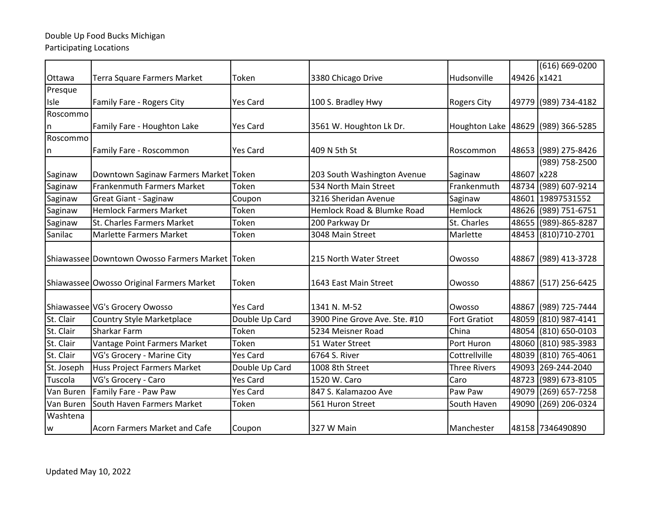|            |                                                 |                 |                               |                     |             | (616) 669-0200                     |
|------------|-------------------------------------------------|-----------------|-------------------------------|---------------------|-------------|------------------------------------|
| Ottawa     | Terra Square Farmers Market                     | Token           | 3380 Chicago Drive            | Hudsonville         | 49426 x1421 |                                    |
| Presque    |                                                 |                 |                               |                     |             |                                    |
| Isle       | Family Fare - Rogers City                       | <b>Yes Card</b> | 100 S. Bradley Hwy            | <b>Rogers City</b>  |             | 49779 (989) 734-4182               |
| Roscommo   |                                                 |                 |                               |                     |             |                                    |
| n          | Family Fare - Houghton Lake                     | <b>Yes Card</b> | 3561 W. Houghton Lk Dr.       |                     |             | Houghton Lake 48629 (989) 366-5285 |
| Roscommo   |                                                 |                 |                               |                     |             |                                    |
| n          | Family Fare - Roscommon                         | <b>Yes Card</b> | 409 N 5th St                  | Roscommon           |             | 48653 (989) 275-8426               |
|            |                                                 |                 |                               |                     |             | (989) 758-2500                     |
| Saginaw    | Downtown Saginaw Farmers Market Token           |                 | 203 South Washington Avenue   | Saginaw             | 48607 x228  |                                    |
| Saginaw    | <b>Frankenmuth Farmers Market</b>               | Token           | 534 North Main Street         | Frankenmuth         |             | 48734 (989) 607-9214               |
| Saginaw    | <b>Great Giant - Saginaw</b>                    | Coupon          | 3216 Sheridan Avenue          | Saginaw             |             | 48601 19897531552                  |
| Saginaw    | <b>Hemlock Farmers Market</b>                   | Token           | Hemlock Road & Blumke Road    | Hemlock             |             | 48626 (989) 751-6751               |
| Saginaw    | St. Charles Farmers Market                      | Token           | 200 Parkway Dr                | St. Charles         |             | 48655 (989)-865-8287               |
| Sanilac    | <b>Marlette Farmers Market</b>                  | Token           | 3048 Main Street              | Marlette            |             | 48453 (810) 710-2701               |
|            |                                                 |                 |                               |                     |             |                                    |
|            | Shiawassee Downtown Owosso Farmers Market Token |                 | 215 North Water Street        | Owosso              |             | 48867 (989) 413-3728               |
|            |                                                 |                 |                               |                     |             |                                    |
|            | Shiawassee Owosso Original Farmers Market       | Token           | 1643 East Main Street         | Owosso              |             | 48867 (517) 256-6425               |
|            |                                                 |                 |                               |                     |             |                                    |
|            | Shiawassee VG's Grocery Owosso                  | <b>Yes Card</b> | 1341 N. M-52                  | Owosso              |             | 48867 (989) 725-7444               |
| St. Clair  | <b>Country Style Marketplace</b>                | Double Up Card  | 3900 Pine Grove Ave. Ste. #10 | <b>Fort Gratiot</b> |             | 48059 (810) 987-4141               |
| St. Clair  | Sharkar Farm                                    | Token           | 5234 Meisner Road             | China               |             | 48054 (810) 650-0103               |
| St. Clair  | Vantage Point Farmers Market                    | Token           | 51 Water Street               | Port Huron          |             | 48060 (810) 985-3983               |
| St. Clair  | VG's Grocery - Marine City                      | <b>Yes Card</b> | 6764 S. River                 | Cottrellville       |             | 48039 (810) 765-4061               |
| St. Joseph | <b>Huss Project Farmers Market</b>              | Double Up Card  | 1008 8th Street               | <b>Three Rivers</b> |             | 49093 269-244-2040                 |
| Tuscola    | VG's Grocery - Caro                             | <b>Yes Card</b> | 1520 W. Caro                  | Caro                |             | 48723 (989) 673-8105               |
| Van Buren  | Family Fare - Paw Paw                           | <b>Yes Card</b> | 847 S. Kalamazoo Ave          | Paw Paw             |             | 49079 (269) 657-7258               |
| Van Buren  | South Haven Farmers Market                      | Token           | 561 Huron Street              | South Haven         |             | 49090 (269) 206-0324               |
| Washtena   |                                                 |                 |                               |                     |             |                                    |
| lw         | Acorn Farmers Market and Cafe                   | Coupon          | 327 W Main                    | Manchester          |             | 48158 7346490890                   |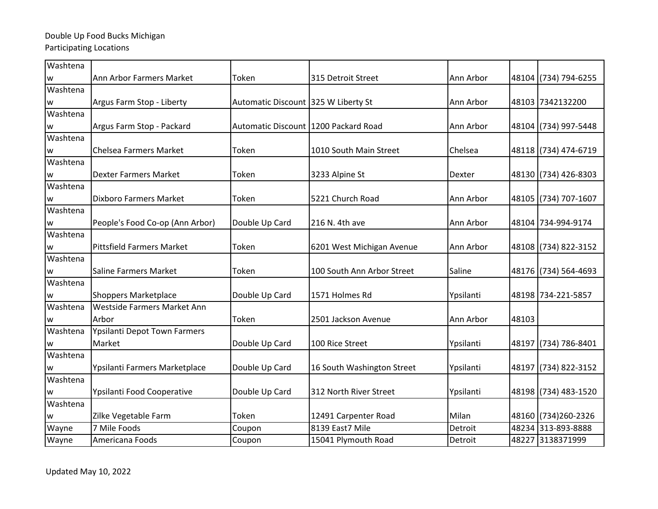| Washtena                                                                                                                                                                                                                                                                                                                                                                                                                                           |                                    |                                      |                            |           |       |                      |
|----------------------------------------------------------------------------------------------------------------------------------------------------------------------------------------------------------------------------------------------------------------------------------------------------------------------------------------------------------------------------------------------------------------------------------------------------|------------------------------------|--------------------------------------|----------------------------|-----------|-------|----------------------|
| w                                                                                                                                                                                                                                                                                                                                                                                                                                                  | Ann Arbor Farmers Market           | Token                                | 315 Detroit Street         | Ann Arbor |       | 48104 (734) 794-6255 |
| Washtena                                                                                                                                                                                                                                                                                                                                                                                                                                           |                                    |                                      |                            |           |       |                      |
| W                                                                                                                                                                                                                                                                                                                                                                                                                                                  | Argus Farm Stop - Liberty          | Automatic Discount 325 W Liberty St  |                            | Ann Arbor |       | 48103 7342132200     |
| Washtena                                                                                                                                                                                                                                                                                                                                                                                                                                           |                                    |                                      |                            |           |       |                      |
| $\mathsf{W}% _{T}=\mathsf{W}_{T}\!\left( a,b\right) ,\ \mathsf{W}_{T}=\mathsf{W}_{T} \!\left( a,b\right) ,\ \mathsf{W}_{T}=\mathsf{W}_{T} \!\left( a,b\right) ,\ \mathsf{W}_{T}=\mathsf{W}_{T} \!\left( a,b\right) ,\ \mathsf{W}_{T}=\mathsf{W}_{T} \!\left( a,b\right) ,\ \mathsf{W}_{T}=\mathsf{W}_{T} \!\left( a,b\right) ,\ \mathsf{W}_{T}=\mathsf{W}_{T} \!\left( a,b\right) ,\ \mathsf{W}_{T}=\mathsf{W}_{T} \!\left( a,b\right) ,\ \mathsf$ | Argus Farm Stop - Packard          | Automatic Discount 1200 Packard Road |                            | Ann Arbor |       | 48104 (734) 997-5448 |
| Washtena                                                                                                                                                                                                                                                                                                                                                                                                                                           |                                    |                                      |                            |           |       |                      |
| w                                                                                                                                                                                                                                                                                                                                                                                                                                                  | Chelsea Farmers Market             | Token                                | 1010 South Main Street     | Chelsea   |       | 48118 (734) 474-6719 |
| Washtena                                                                                                                                                                                                                                                                                                                                                                                                                                           |                                    |                                      |                            |           |       |                      |
| W                                                                                                                                                                                                                                                                                                                                                                                                                                                  | <b>Dexter Farmers Market</b>       | Token                                | 3233 Alpine St             | Dexter    |       | 48130 (734) 426-8303 |
| Washtena                                                                                                                                                                                                                                                                                                                                                                                                                                           |                                    |                                      |                            |           |       |                      |
| W                                                                                                                                                                                                                                                                                                                                                                                                                                                  | <b>Dixboro Farmers Market</b>      | Token                                | 5221 Church Road           | Ann Arbor |       | 48105 (734) 707-1607 |
| Washtena                                                                                                                                                                                                                                                                                                                                                                                                                                           |                                    |                                      |                            |           |       |                      |
| w                                                                                                                                                                                                                                                                                                                                                                                                                                                  | People's Food Co-op (Ann Arbor)    | Double Up Card                       | 216 N. 4th ave             | Ann Arbor |       | 48104 734-994-9174   |
| Washtena                                                                                                                                                                                                                                                                                                                                                                                                                                           |                                    |                                      |                            |           |       |                      |
| W                                                                                                                                                                                                                                                                                                                                                                                                                                                  | <b>Pittsfield Farmers Market</b>   | Token                                | 6201 West Michigan Avenue  | Ann Arbor |       | 48108 (734) 822-3152 |
| Washtena                                                                                                                                                                                                                                                                                                                                                                                                                                           |                                    |                                      |                            |           |       |                      |
| w                                                                                                                                                                                                                                                                                                                                                                                                                                                  | <b>Saline Farmers Market</b>       | Token                                | 100 South Ann Arbor Street | Saline    |       | 48176 (734) 564-4693 |
| Washtena                                                                                                                                                                                                                                                                                                                                                                                                                                           |                                    |                                      |                            |           |       |                      |
| W                                                                                                                                                                                                                                                                                                                                                                                                                                                  | <b>Shoppers Marketplace</b>        | Double Up Card                       | 1571 Holmes Rd             | Ypsilanti |       | 48198 734-221-5857   |
| Washtena                                                                                                                                                                                                                                                                                                                                                                                                                                           | <b>Westside Farmers Market Ann</b> |                                      |                            |           |       |                      |
| w                                                                                                                                                                                                                                                                                                                                                                                                                                                  | Arbor                              | Token                                | 2501 Jackson Avenue        | Ann Arbor | 48103 |                      |
| Washtena                                                                                                                                                                                                                                                                                                                                                                                                                                           | Ypsilanti Depot Town Farmers       |                                      |                            |           |       |                      |
| W                                                                                                                                                                                                                                                                                                                                                                                                                                                  | Market                             | Double Up Card                       | 100 Rice Street            | Ypsilanti | 48197 | (734) 786-8401       |
| Washtena                                                                                                                                                                                                                                                                                                                                                                                                                                           |                                    |                                      |                            |           |       |                      |
| W                                                                                                                                                                                                                                                                                                                                                                                                                                                  | Ypsilanti Farmers Marketplace      | Double Up Card                       | 16 South Washington Street | Ypsilanti |       | 48197 (734) 822-3152 |
| Washtena                                                                                                                                                                                                                                                                                                                                                                                                                                           |                                    |                                      |                            |           |       |                      |
| W                                                                                                                                                                                                                                                                                                                                                                                                                                                  | Ypsilanti Food Cooperative         | Double Up Card                       | 312 North River Street     | Ypsilanti |       | 48198 (734) 483-1520 |
| Washtena                                                                                                                                                                                                                                                                                                                                                                                                                                           |                                    |                                      |                            |           |       |                      |
| W                                                                                                                                                                                                                                                                                                                                                                                                                                                  | Zilke Vegetable Farm               | Token                                | 12491 Carpenter Road       | Milan     |       | 48160 (734) 260-2326 |
| Wayne                                                                                                                                                                                                                                                                                                                                                                                                                                              | 7 Mile Foods                       | Coupon                               | 8139 East7 Mile            | Detroit   |       | 48234 313-893-8888   |
| Wayne                                                                                                                                                                                                                                                                                                                                                                                                                                              | Americana Foods                    | Coupon                               | 15041 Plymouth Road        | Detroit   | 48227 | 3138371999           |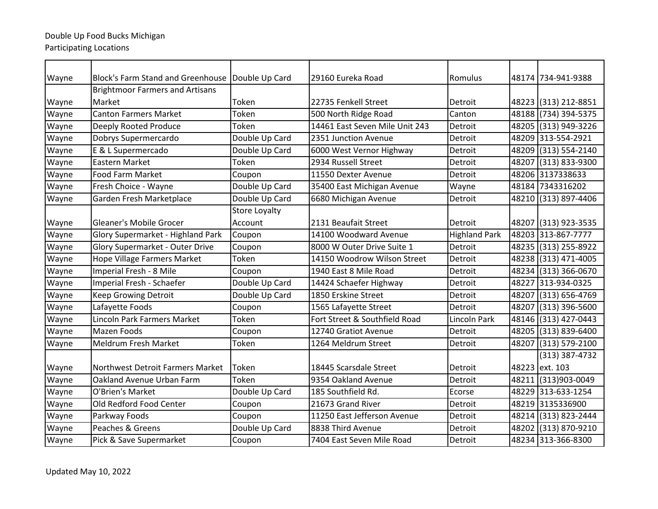| Wayne | <b>Block's Farm Stand and Greenhouse</b> | Double Up Card       | 29160 Eureka Road              | Romulus              |       | 48174 734-941-9388   |
|-------|------------------------------------------|----------------------|--------------------------------|----------------------|-------|----------------------|
|       | <b>Brightmoor Farmers and Artisans</b>   |                      |                                |                      |       |                      |
| Wayne | Market                                   | Token                | 22735 Fenkell Street           | Detroit              |       | 48223 (313) 212-8851 |
| Wayne | <b>Canton Farmers Market</b>             | Token                | 500 North Ridge Road           | Canton               |       | 48188 (734) 394-5375 |
| Wayne | Deeply Rooted Produce                    | Token                | 14461 East Seven Mile Unit 243 | Detroit              |       | 48205 (313) 949-3226 |
| Wayne | Dobrys Supermercardo                     | Double Up Card       | 2351 Junction Avenue           | Detroit              |       | 48209 313-554-2921   |
| Wayne | E & L Supermercado                       | Double Up Card       | 6000 West Vernor Highway       | Detroit              |       | 48209 (313) 554-2140 |
| Wayne | Eastern Market                           | Token                | 2934 Russell Street            | Detroit              | 48207 | $(313) 833 - 9300$   |
| Wayne | <b>Food Farm Market</b>                  | Coupon               | 11550 Dexter Avenue            | Detroit              |       | 48206 3137338633     |
| Wayne | Fresh Choice - Wayne                     | Double Up Card       | 35400 East Michigan Avenue     | Wayne                |       | 48184 7343316202     |
| Wayne | Garden Fresh Marketplace                 | Double Up Card       | 6680 Michigan Avenue           | Detroit              |       | 48210 (313) 897-4406 |
|       |                                          | <b>Store Loyalty</b> |                                |                      |       |                      |
| Wayne | Gleaner's Mobile Grocer                  | Account              | 2131 Beaufait Street           | Detroit              |       | 48207 (313) 923-3535 |
| Wayne | Glory Supermarket - Highland Park        | Coupon               | 14100 Woodward Avenue          | <b>Highland Park</b> |       | 48203 313-867-7777   |
| Wayne | <b>Glory Supermarket - Outer Drive</b>   | Coupon               | 8000 W Outer Drive Suite 1     | Detroit              |       | 48235 (313) 255-8922 |
| Wayne | Hope Village Farmers Market              | Token                | 14150 Woodrow Wilson Street    | Detroit              |       | 48238 (313) 471-4005 |
| Wayne | Imperial Fresh - 8 Mile                  | Coupon               | 1940 East 8 Mile Road          | Detroit              |       | 48234 (313) 366-0670 |
| Wayne | Imperial Fresh - Schaefer                | Double Up Card       | 14424 Schaefer Highway         | Detroit              |       | 48227 313-934-0325   |
| Wayne | Keep Growing Detroit                     | Double Up Card       | 1850 Erskine Street            | Detroit              | 48207 | (313) 656-4769       |
| Wayne | Lafayette Foods                          | Coupon               | 1565 Lafayette Street          | Detroit              | 48207 | $(313) 396 - 5600$   |
| Wayne | <b>Lincoln Park Farmers Market</b>       | Token                | Fort Street & Southfield Road  | Lincoln Park         |       | 48146 (313) 427-0443 |
| Wayne | Mazen Foods                              | Coupon               | 12740 Gratiot Avenue           | Detroit              |       | 48205 (313) 839-6400 |
| Wayne | <b>Meldrum Fresh Market</b>              | Token                | 1264 Meldrum Street            | Detroit              | 48207 | $(313) 579 - 2100$   |
|       |                                          |                      |                                |                      |       | (313) 387-4732       |
| Wayne | <b>Northwest Detroit Farmers Market</b>  | Token                | 18445 Scarsdale Street         | Detroit              |       | 48223 ext. 103       |
| Wayne | Oakland Avenue Urban Farm                | Token                | 9354 Oakland Avenue            | Detroit              | 48211 | $(313)903 - 0049$    |
| Wayne | O'Brien's Market                         | Double Up Card       | 185 Southfield Rd.             | Ecorse               |       | 48229 313-633-1254   |
| Wayne | Old Redford Food Center                  | Coupon               | 21673 Grand River              | Detroit              |       | 48219 3135336900     |
| Wayne | Parkway Foods                            | Coupon               | 11250 East Jefferson Avenue    | Detroit              |       | 48214 (313) 823-2444 |
| Wayne | Peaches & Greens                         | Double Up Card       | 8838 Third Avenue              | Detroit              |       | 48202 (313) 870-9210 |
| Wayne | Pick & Save Supermarket                  | Coupon               | 7404 East Seven Mile Road      | Detroit              |       | 48234 313-366-8300   |